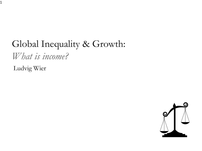# Global Inequality & Growth:

*What is income?*

Ludvig Wier

1

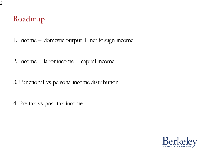### Roadmap

- 1. Income  $=$  domestic output  $+$  net foreign income
- 2. Income  $=$  labor income  $+$  capital income
- 3. Functional vs. personal income distribution
- 4. Pre-tax vs. post-tax income

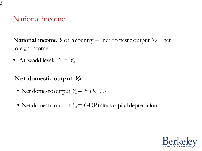### National income

**National income** *Y*of a country = net domestic output  $Y_d$  + net foreign income

• At world level:  $Y = Y_d$ 

#### Net domestic output  $Y_d$

- Net domestic output  $Y_d = F(K, L)$
- Net domestic output  $Y_d$  = GDP minus capital depreciation

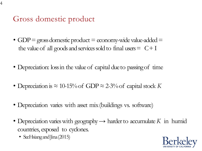Gross domestic product

- GDP = gross domestic product = economy-wide value-added = the value of all goods and services sold to final users  $= C + I$
- Depreciation: loss in the value of capital due to passing of time
- Depreciation is *≈* 10-15% of GDP *≈* 2-3% of capital stock *K*
- Depreciation varies with asset mix(buildings vs. software)
- Depreciation varies with geography *→* harder to accumulate *K* in humid countries, exposed to cyclones.
	- SeeHsiang and Jina (2015)

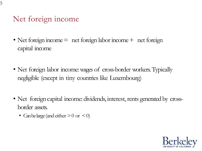### Net foreign income

- Net foreign income = net foreign labor income + net foreign capital income
- Net foreign labor income: wages of cross-border workers. Typically negligible (except in tiny countries like Luxembourg)
- Net foreign capital income: dividends, interest, rents generated by crossborder assets.
	- Can be large (and either *>*0 or *<*0)

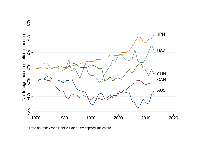

Data source: World Bank's World Development Indicators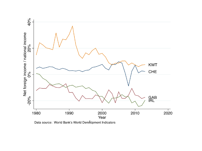

Data source: World Bank's World Development Indicators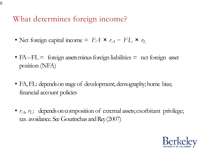What determines foreign income?

- Net foreign capital income =  $FA \times r_A FL \times r_L$
- $FA$   $FL$  = foreign assets minus foreign liabilities = net foreign asset position (NFA)
- FA, FL: depends on stage of development; demography; home bias; financial account policies
- $r_A$ ,  $r_I$ : depends on composition of external assets; exorbitant privilege; tax avoidance. See Gourinchas and Rey(2007)

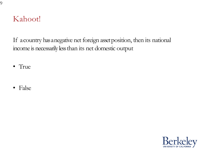#### Kahoot!

If a country has a negative net foreign asset position, then its national income is necessarily less than its net domestic output

- True
- False

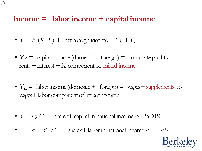#### **Income = labor income + capitalincome**

- $Y = F(K, L)$  + net foreign income =  $Y_K + Y_L$
- $Y_K$  = capital income (domestic + foreign) = corporate profits + rents + interest  $+K$  component of mixed income
- $Y_L$  = labor income (domestic + foreign) = wages + supplements to wages +labor component of mixed income
- $a = Y_K/Y =$  share of capital in national income  $\approx 25{\text -}30\%$
- 1  $a = Y_L/Y =$  share of labor in national income  $\approx 70-75\%$

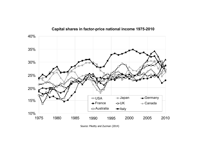

#### **Capital shares in factor-price national income 1975-2010**

Source: Piketty and Zucman (2014)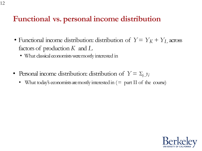### **Functional vs. personal income distribution**

- Functional income distribution: distribution of  $Y = Y_K + Y_L$  across factors of production *K* and *L*
	- What classical economists were mostly interested in
- Personal income distribution: distribution of  $Y = \sum_i y_i$ 
	- What today's economists are mostly interested in  $(=$  part II of the course)

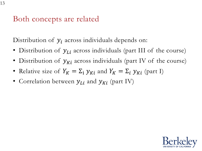Both concepts are related

Distribution of  $y_i$  across individuals depends on:

- Distribution of  $y_{Li}$  across individuals (part III of the course)
- Distribution of  $y_{Ki}$  across individuals (part IV of the course)
- Relative size of  $Y_K = \Sigma_i$   $y_{Ki}$  and  $Y_K = \Sigma_i$   $y_{Ki}$  (part I)
- Correlation between  $y_{Li}$  and  $y_{Ki}$  (part IV)

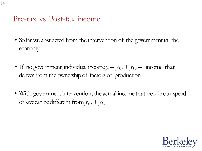Pre-tax vs. Post-tax income

- So far we abstracted from the intervention of the government in the economy
- If no government, individual income  $y_i = y_{Ki} + y_{Li} =$  income that derives from the ownership of factors of production
- With government intervention, the actual income that people can spend or save can be different from  $y_{Ki} + y_{Li}$

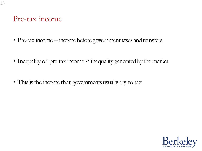#### Pre-tax income

- Pre-tax income  $=$  income before government taxes and transfers
- Inequality of pre-tax income *≈* inequality generated by the market
- This is the income that governments usually try to tax

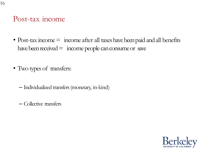#### Post-tax income

- Post-tax income = income after all taxes have been paid and all benefits have been received  $=$  income people can consume or save
- Two types of transfers:
	- Individualized transfers (monetary, in-kind)
	- Collective transfers

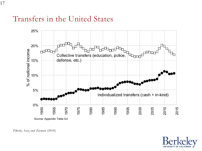#### Transfers in the United States





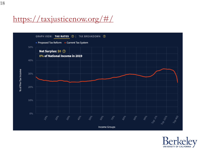## https://taxjusticenow.org/#/



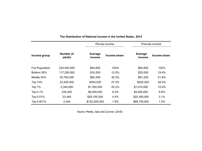|                        | Number of<br>adults | Pre-tax income    |              | Post-tax income   |              |
|------------------------|---------------------|-------------------|--------------|-------------------|--------------|
| Income group           |                     | Average<br>income | Income share | Average<br>income | Income share |
| <b>Full Population</b> | 234,400,000         | \$64,600          | 100%         | \$64,600          | 100%         |
| Bottom 50%             | 117,200,000         | \$16,200          | 12.5%        | \$25,000          | 19.4%        |
| Middle 40%             | 93,760,000          | \$65,400          | 40.5%        | \$67,200          | 41.6%        |
| Top 10%                | 23,440,000          | \$304,000         | 47.0%        | \$252,000         | 39.0%        |
| Top 1%                 | 2,344,000           | \$1,300,000       | 20.2%        | \$1,010,000       | 15.6%        |
| Top 0.1%               | 234,400             | \$6,000,000       | 9.3%         | \$4,400,000       | 6.8%         |
| Top 0.01%              | 23,440              | \$28,100,000      | 4.4%         | \$20,300,000      | 3.1%         |
| Top 0.001%             | 2,344               | \$122,000,000     | 1.9%         | \$88,700,000      | 1.4%         |

#### **The Distribution of National Income in the United States, 2014**

Source: Piketty, Saez and Zucman (2018)